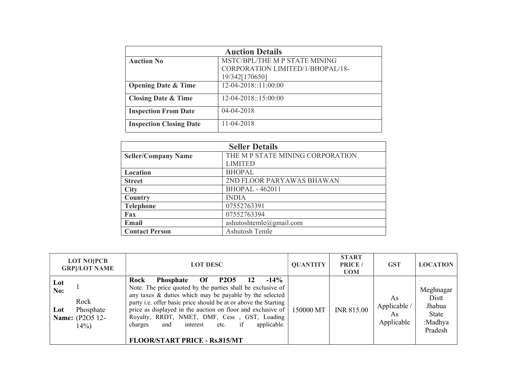| <b>Auction Details</b>         |                                                    |  |
|--------------------------------|----------------------------------------------------|--|
| <b>Auction No</b>              | MSTC/BPL/THE M P STATE MINING                      |  |
|                                | CORPORATION LIMITED/1/BHOPAL/18-<br>19/342[170650] |  |
|                                |                                                    |  |
| <b>Opening Date &amp; Time</b> | 12-04-2018::11:00:00                               |  |
| <b>Closing Date &amp; Time</b> | 12-04-2018::15:00:00                               |  |
| <b>Inspection From Date</b>    | 04-04-2018                                         |  |
| <b>Inspection Closing Date</b> | 11-04-2018                                         |  |

| <b>Seller Details</b>      |                                  |  |
|----------------------------|----------------------------------|--|
| <b>Seller/Company Name</b> | THE M P STATE MINING CORPORATION |  |
|                            | <b>LIMITED</b>                   |  |
| Location                   | <b>BHOPAL</b>                    |  |
| <b>Street</b>              | 2ND FLOOR PARYAWAS BHAWAN        |  |
| <b>City</b>                | <b>BHOPAL - 462011</b>           |  |
| Country                    | <b>INDIA</b>                     |  |
| <b>Telephone</b>           | 07552763391                      |  |
| Fax                        | 07552763394                      |  |
| Email                      | ashutoshtemle@gmail.com          |  |
| <b>Contact Person</b>      | <b>Ashutosh Temle</b>            |  |

|                   | <b>LOT NO[PCB</b><br><b>GRP</b>  /LOT NAME             | <b>LOT DESC</b>                                                                                                                                                                                                                                                                                                                                                                                                                                                                       | <b>QUANTITY</b> | <b>START</b><br><b>PRICE</b> /<br><b>UOM</b> | <b>GST</b>                             | <b>LOCATION</b>                                             |
|-------------------|--------------------------------------------------------|---------------------------------------------------------------------------------------------------------------------------------------------------------------------------------------------------------------------------------------------------------------------------------------------------------------------------------------------------------------------------------------------------------------------------------------------------------------------------------------|-----------------|----------------------------------------------|----------------------------------------|-------------------------------------------------------------|
| Lot<br>No:<br>Lot | Rock<br>Phosphate<br><b>Name:</b> (P2O5 12-<br>$14\%)$ | Rock<br><b>P2O5</b><br>$-14\%$<br>Of<br><b>Phosphate</b><br>12<br>Note: The price quoted by the parties shall be exclusive of<br>any taxes & duties which may be payable by the selected<br>party i.e. offer basic price should be at or above the Starting<br>price as displayed in the auction on floor and exclusive of $\vert$<br>Royalty, RRDT, NMET, DMF, Cess, GST, Loading<br>if<br>applicable.<br>interest<br>and<br>etc.<br>charges<br><b>FLOOR/START PRICE - Rs.815/MT</b> | 150000 MT       | <b>INR 815.00</b>                            | As<br>Applicable /<br>As<br>Applicable | Meghnagar<br>Distt<br>Jhabua<br>State<br>:Madhya<br>Pradesh |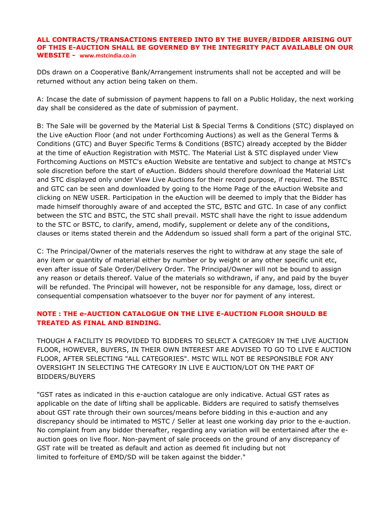## **ALL CONTRACTS/TRANSACTIONS ENTERED INTO BY THE BUYER/BIDDER ARISING OUT OF THIS E-AUCTION SHALL BE GOVERNED BY THE INTEGRITY PACT AVAILABLE ON OUR WEBSITE - [www.mstcindia.co.in](http://www.mstcindia.co.in/)**

DDs drawn on a Cooperative Bank/Arrangement instruments shall not be accepted and will be returned without any action being taken on them.

A: Incase the date of submission of payment happens to fall on a Public Holiday, the next working day shall be considered as the date of submission of payment.

B: The Sale will be governed by the Material List & Special Terms & Conditions (STC) displayed on the Live eAuction Floor (and not under Forthcoming Auctions) as well as the General Terms & Conditions (GTC) and Buyer Specific Terms & Conditions (BSTC) already accepted by the Bidder at the time of eAuction Registration with MSTC. The Material List & STC displayed under View Forthcoming Auctions on MSTC's eAuction Website are tentative and subject to change at MSTC's sole discretion before the start of eAuction. Bidders should therefore download the Material List and STC displayed only under View Live Auctions for their record purpose, if required. The BSTC and GTC can be seen and downloaded by going to the Home Page of the eAuction Website and clicking on NEW USER. Participation in the eAuction will be deemed to imply that the Bidder has made himself thoroughly aware of and accepted the STC, BSTC and GTC. In case of any conflict between the STC and BSTC, the STC shall prevail. MSTC shall have the right to issue addendum to the STC or BSTC, to clarify, amend, modify, supplement or delete any of the conditions, clauses or items stated therein and the Addendum so issued shall form a part of the original STC.

C: The Principal/Owner of the materials reserves the right to withdraw at any stage the sale of any item or quantity of material either by number or by weight or any other specific unit etc, even after issue of Sale Order/Delivery Order. The Principal/Owner will not be bound to assign any reason or details thereof. Value of the materials so withdrawn, if any, and paid by the buyer will be refunded. The Principal will however, not be responsible for any damage, loss, direct or consequential compensation whatsoever to the buyer nor for payment of any interest.

# **NOTE : THE e-AUCTION CATALOGUE ON THE LIVE E-AUCTION FLOOR SHOULD BE TREATED AS FINAL AND BINDING.**

THOUGH A FACILITY IS PROVIDED TO BIDDERS TO SELECT A CATEGORY IN THE LIVE AUCTION FLOOR, HOWEVER, BUYERS, IN THEIR OWN INTEREST ARE ADVISED TO GO TO LIVE E AUCTION FLOOR, AFTER SELECTING "ALL CATEGORIES". MSTC WILL NOT BE RESPONSIBLE FOR ANY OVERSIGHT IN SELECTING THE CATEGORY IN LIVE E AUCTION/LOT ON THE PART OF BIDDERS/BUYERS

"GST rates as indicated in this e-auction catalogue are only indicative. Actual GST rates as applicable on the date of lifting shall be applicable. Bidders are required to satisfy themselves about GST rate through their own sources/means before bidding in this e-auction and any discrepancy should be intimated to MSTC / Seller at least one working day prior to the e-auction. No complaint from any bidder thereafter, regarding any variation will be entertained after the eauction goes on live floor. Non-payment of sale proceeds on the ground of any discrepancy of GST rate will be treated as default and action as deemed fit including but not limited to forfeiture of EMD/SD will be taken against the bidder."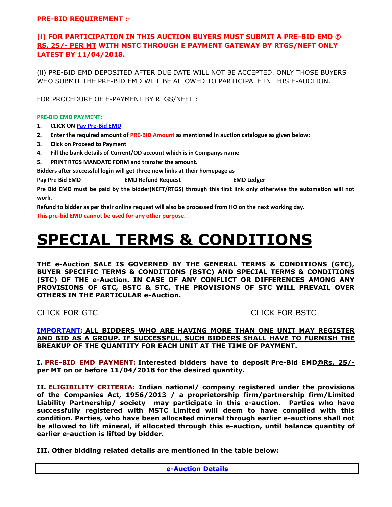## **PRE-BID REQUIREMENT :-**

# **(i) FOR PARTICIPATION IN THIS AUCTION BUYERS MUST SUBMIT A PRE-BID EMD @ RS. 25/- PER MT WITH MSTC THROUGH E PAYMENT GATEWAY BY RTGS/NEFT ONLY LATEST BY 11/04/2018.**

(ii) PRE-BID EMD DEPOSITED AFTER DUE DATE WILL NOT BE ACCEPTED. ONLY THOSE BUYERS WHO SUBMIT THE PRE-BID EMD WILL BE ALLOWED TO PARTICIPATE IN THIS E-AUCTION.

FOR PROCEDURE OF E-PAYMENT BY RTGS/NEFT :

**PRE-BID EMD PAYMENT:**

- **1. CLICK O[N Pay Pre-Bid EMD](http://mstcecommerce.com/auctionhome/mstc/emd_fee_payment.jsp)**
- **2. Enter the required amount of PRE-BID Amount as mentioned in auction catalogue as given below:**
- **3. Click on Proceed to Payment**
- **4. Fill the bank details of Current/OD account which is in Companys name**
- **5. PRINT RTGS MANDATE FORM and transfer the amount.**

**Bidders after successful login will get three new links at their homepage as** 

**Pay Pre Bid EMD EMD Refund Request EMD Ledger**

**Pre Bid EMD must be paid by the bidder(NEFT/RTGS) through this first link only otherwise the automation will not work.** 

**Refund to bidder as per their online request will also be processed from HO on the next working day.** 

**This pre-bid EMD cannot be used for any other purpose.**

# **SPECIAL TERMS & CONDITIONS**

**THE e-Auction SALE IS GOVERNED BY THE GENERAL TERMS & CONDITIONS (GTC), BUYER SPECIFIC TERMS & CONDITIONS (BSTC) AND SPECIAL TERMS & CONDITIONS (STC) OF THE e-Auction. IN CASE OF ANY CONFLICT OR DIFFERENCES AMONG ANY PROVISIONS OF GTC, BSTC & STC, THE PROVISIONS OF STC WILL PREVAIL OVER OTHERS IN THE PARTICULAR e-Auction.**

# CLICK FOR GTCCLICK FOR BSTC

### **IMPORTANT: ALL BIDDERS WHO ARE HAVING MORE THAN ONE UNIT MAY REGISTER AND BID AS A GROUP. IF SUCCESSFUL, SUCH BIDDERS SHALL HAVE TO FURNISH THE BREAKUP OF THE QUANTITY FOR EACH UNIT AT THE TIME OF PAYMENT.**

**I. PRE-BID EMD PAYMENT: Interested bidders have to deposit Pre-Bid EMD@Rs. 25/ per MT on or before 11/04/2018 for the desired quantity.**

**II. ELIGIBILITY CRITERIA: Indian national/ company registered under the provisions of the Companies Act, 1956/2013 / a proprietorship firm/partnership firm/Limited Liability Partnership/ society may participate in this e-auction. Parties who have successfully registered with MSTC Limited will deem to have complied with this condition. Parties, who have been allocated mineral through earlier e-auctions shall not be allowed to lift mineral, if allocated through this e-auction, until balance quantity of earlier e-auction is lifted by bidder.**

**III. Other bidding related details are mentioned in the table below:**

**e-Auction Details**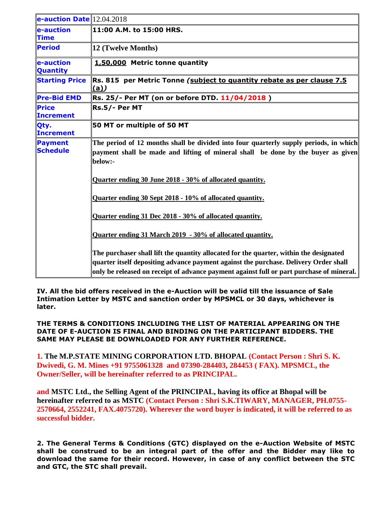| e-auction Date $12.04.2018$      |                                                                                                                                                                                      |
|----------------------------------|--------------------------------------------------------------------------------------------------------------------------------------------------------------------------------------|
| e-auction<br><b>Time</b>         | 11:00 A.M. to 15:00 HRS.                                                                                                                                                             |
| <b>Period</b>                    | 12 (Twelve Months)                                                                                                                                                                   |
| e-auction<br><b>Quantity</b>     | 1,50,000 Metric tonne quantity                                                                                                                                                       |
| <b>Starting Price</b>            | Rs. 815 per Metric Tonne (subject to quantity rebate as per clause 7.5<br>(a)                                                                                                        |
| <b>Pre-Bid EMD</b>               | Rs. 25/- Per MT (on or before DTD. 11/04/2018)                                                                                                                                       |
| <b>Price</b><br><b>Increment</b> | Rs.5/- Per MT                                                                                                                                                                        |
| Qty.<br><b>Increment</b>         | 50 MT or multiple of 50 MT                                                                                                                                                           |
| Payment<br><b>Schedule</b>       | The period of 12 months shall be divided into four quarterly supply periods, in which<br>payment shall be made and lifting of mineral shall be done by the buyer as given<br>below:- |
|                                  | Quarter ending 30 June 2018 - 30% of allocated quantity.                                                                                                                             |
|                                  | Quarter ending 30 Sept 2018 - 10% of allocated quantity.                                                                                                                             |
|                                  | Quarter ending 31 Dec 2018 - 30% of allocated quantity.                                                                                                                              |
|                                  | Quarter ending 31 March 2019 - 30% of allocated quantity.                                                                                                                            |
|                                  | The purchaser shall lift the quantity allocated for the quarter, within the designated                                                                                               |
|                                  | quarter itself depositing advance payment against the purchase. Delivery Order shall<br>only be released on receipt of advance payment against full or part purchase of mineral.     |

**IV. All the bid offers received in the e-Auction will be valid till the issuance of Sale Intimation Letter by MSTC and sanction order by MPSMCL or 30 days, whichever is later.**

**THE TERMS & CONDITIONS INCLUDING THE LIST OF MATERIAL APPEARING ON THE DATE OF E-AUCTION IS FINAL AND BINDING ON THE PARTICIPANT BIDDERS. THE SAME MAY PLEASE BE DOWNLOADED FOR ANY FURTHER REFERENCE.**

**1. The M.P.STATE MINING CORPORATION LTD. BHOPAL (Contact Person : Shri S. K. Dwivedi, G. M. Mines +91 9755061328 and 07390-284403, 284453 ( FAX). MPSMCL, the Owner/Seller, will be hereinafter referred to as PRINCIPAL.**

**and MSTC Ltd., the Selling Agent of the PRINCIPAL, having its office at Bhopal will be hereinafter referred to as MSTC (Contact Person : Shri S.K.TIWARY, MANAGER, PH.0755- 2570664, 2552241, FAX.4075720). Wherever the word buyer is indicated, it will be referred to as successful bidder.**

**2. The General Terms & Conditions (GTC) displayed on the e-Auction Website of MSTC shall be construed to be an integral part of the offer and the Bidder may like to download the same for their record. However, in case of any conflict between the STC and GTC, the STC shall prevail.**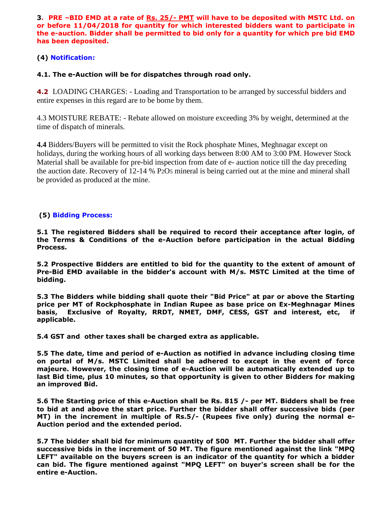**3. PRE –BID EMD at a rate of Rs. 25/- PMT will have to be deposited with MSTC Ltd. on or before 11/04/2018 for quantity for which interested bidders want to participate in the e-auction. Bidder shall be permitted to bid only for a quantity for which pre bid EMD has been deposited.** 

# **(4) Notification:**

# **4.1. The e-Auction will be for dispatches through road only.**

**4.2** LOADING CHARGES: - Loading and Transportation to be arranged by successful bidders and entire expenses in this regard are to be borne by them.

4.3 MOISTURE REBATE: - Rebate allowed on moisture exceeding 3% by weight, determined at the time of dispatch of minerals.

**4.4** Bidders/Buyers will be permitted to visit the Rock phosphate Mines, Meghnagar except on holidays, during the working hours of all working days between 8:00 AM to 3:00 PM. However Stock Material shall be available for pre-bid inspection from date of e- auction notice till the day preceding the auction date. Recovery of 12-14 % P2O5 mineral is being carried out at the mine and mineral shall be provided as produced at the mine.

# **(5) Bidding Process:**

**5.1 The registered Bidders shall be required to record their acceptance after login, of the Terms & Conditions of the e-Auction before participation in the actual Bidding Process.**

**5.2 Prospective Bidders are entitled to bid for the quantity to the extent of amount of Pre-Bid EMD available in the bidder's account with M/s. MSTC Limited at the time of bidding.**

**5.3 The Bidders while bidding shall quote their "Bid Price" at par or above the Starting price per MT of Rockphosphate in Indian Rupee as base price on Ex-Meghnagar Mines basis, Exclusive of Royalty, RRDT, NMET, DMF, CESS, GST and interest, etc, if applicable.**

**5.4 GST and other taxes shall be charged extra as applicable.**

**5.5 The date, time and period of e-Auction as notified in advance including closing time on portal of M/s. MSTC Limited shall be adhered to except in the event of force majeure. However, the closing time of e-Auction will be automatically extended up to last Bid time, plus 10 minutes, so that opportunity is given to other Bidders for making an improved Bid.**

**5.6 The Starting price of this e-Auction shall be Rs. 815 /- per MT. Bidders shall be free to bid at and above the start price. Further the bidder shall offer successive bids (per MT) in the increment in multiple of Rs.5/- (Rupees five only) during the normal e-Auction period and the extended period.**

**5.7 The bidder shall bid for minimum quantity of 500 MT. Further the bidder shall offer successive bids in the increment of 50 MT. The figure mentioned against the link "MPQ LEFT" available on the buyers screen is an indicator of the quantity for which a bidder can bid. The figure mentioned against "MPQ LEFT" on buyer's screen shall be for the entire e-Auction.**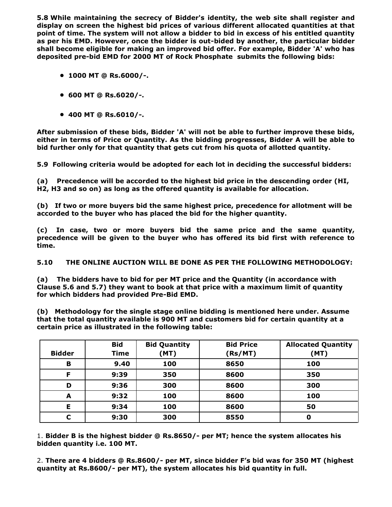**5.8 While maintaining the secrecy of Bidder's identity, the web site shall register and display on screen the highest bid prices of various different allocated quantities at that point of time. The system will not allow a bidder to bid in excess of his entitled quantity as per his EMD. However, once the bidder is out-bided by another, the particular bidder shall become eligible for making an improved bid offer. For example, Bidder 'A' who has deposited pre-bid EMD for 2000 MT of Rock Phosphate submits the following bids:**

- **1000 MT @ Rs.6000/-.**
- **600 MT @ Rs.6020/-.**
- **400 MT @ Rs.6010/-.**

**After submission of these bids, Bidder 'A' will not be able to further improve these bids, either in terms of Price or Quantity. As the bidding progresses, Bidder A will be able to bid further only for that quantity that gets cut from his quota of allotted quantity.**

**5.9 Following criteria would be adopted for each lot in deciding the successful bidders:**

**(a) Precedence will be accorded to the highest bid price in the descending order (HI, H2, H3 and so on) as long as the offered quantity is available for allocation.**

**(b) If two or more buyers bid the same highest price, precedence for allotment will be accorded to the buyer who has placed the bid for the higher quantity.**

**(c) In case, two or more buyers bid the same price and the same quantity, precedence will be given to the buyer who has offered its bid first with reference to time.**

**5.10 THE ONLINE AUCTION WILL BE DONE AS PER THE FOLLOWING METHODOLOGY:**

**(a) The bidders have to bid for per MT price and the Quantity (in accordance with Clause 5.6 and 5.7) they want to book at that price with a maximum limit of quantity for which bidders had provided Pre-Bid EMD.**

**(b) Methodology for the single stage online bidding is mentioned here under. Assume that the total quantity available is 900 MT and customers bid for certain quantity at a certain price as illustrated in the following table:**

|               | <b>Bid</b>  | <b>Bid Quantity</b> | <b>Bid Price</b> | <b>Allocated Quantity</b> |
|---------------|-------------|---------------------|------------------|---------------------------|
| <b>Bidder</b> | <b>Time</b> | (MT)                | (Rs/MT)          | (MT)                      |
| B             | 9.40        | 100                 | 8650             | 100                       |
| F             | 9:39        | 350                 | 8600             | 350                       |
| D             | 9:36        | 300                 | 8600             | 300                       |
| A             | 9:32        | 100                 | 8600             | 100                       |
| Е             | 9:34        | 100                 | 8600             | 50                        |
| C             | 9:30        | 300                 | 8550             | 0                         |

1. **Bidder B is the highest bidder @ Rs.8650/- per MT; hence the system allocates his bidden quantity i.e. 100 MT.**

2. **There are 4 bidders @ Rs.8600/- per MT, since bidder F's bid was for 350 MT (highest quantity at Rs.8600/- per MT), the system allocates his bid quantity in full.**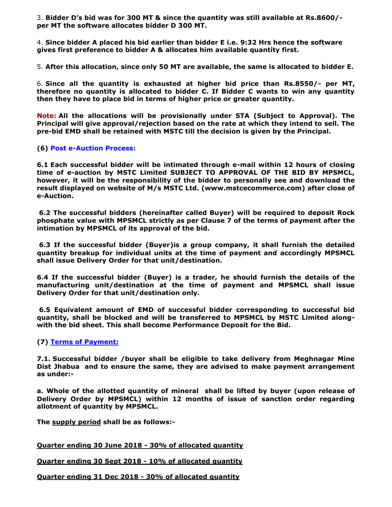3. **Bidder D's bid was for 300 MT & since the quantity was still available at Rs.8600/ per MT the software allocates bidder D 300 MT.**

4. **Since bidder A placed his bid earlier than bidder E i.e. 9:32 Hrs hence the software gives first preference to bidder A & allocates him available quantity first.**

5. **After this allocation, since only 50 MT are available, the same is allocated to bidder E.**

6. **Since all the quantity is exhausted at higher bid price than Rs.8550/- per MT, therefore no quantity is allocated to bidder C. If Bidder C wants to win any quantity then they have to place bid in terms of higher price or greater quantity.**

**Note: All the allocations will be provisionally under STA (Subject to Approval). The Principal will give approval/rejection based on the rate at which they intend to sell. The pre-bid EMD shall be retained with MSTC till the decision is given by the Principal.**

#### **(6) Post e-Auction Process:**

**6.1 Each successful bidder will be intimated through e-mail within 12 hours of closing time of e-auction by MSTC Limited SUBJECT TO APPROVAL OF THE BID BY MPSMCL, however, it will be the responsibility of the bidder to personally see and download the result displayed on website of M/s MSTC Ltd. (www.mstcecommerce.com) after close of e-Auction.**

**6.2 The successful bidders (hereinafter called Buyer) will be required to deposit Rock phosphate value with MPSMCL strictly as per Clause 7 of the terms of payment after the intimation by MPSMCL of its approval of the bid.**

**6.3 If the successful bidder (Buyer)is a group company, it shall furnish the detailed quantity breakup for individual units at the time of payment and accordingly MPSMCL shall issue Delivery Order for that unit/destination.**

**6.4 If the successful bidder (Buyer) is a trader, he should furnish the details of the manufacturing unit/destination at the time of payment and MPSMCL shall issue Delivery Order for that unit/destination only.**

**6.5 Equivalent amount of EMD of successful bidder corresponding to successful bid quantity, shall be blocked and will be transferred to MPSMCL by MSTC Limited alongwith the bid sheet. This shall become Performance Deposit for the Bid.**

#### **(7) Terms of Payment:**

**7.1. Successful bidder /buyer shall be eligible to take delivery from Meghnagar Mine Dist Jhabua and to ensure the same, they are advised to make payment arrangement as under:-**

**a. Whole of the allotted quantity of mineral shall be lifted by buyer (upon release of Delivery Order by MPSMCL) within 12 months of issue of sanction order regarding allotment of quantity by MPSMCL.** 

**The supply period shall be as follows:-**

**Quarter ending 30 June 2018 - 30% of allocated quantity**

**Quarter ending 30 Sept 2018 - 10% of allocated quantity**

**Quarter ending 31 Dec 2018 - 30% of allocated quantity**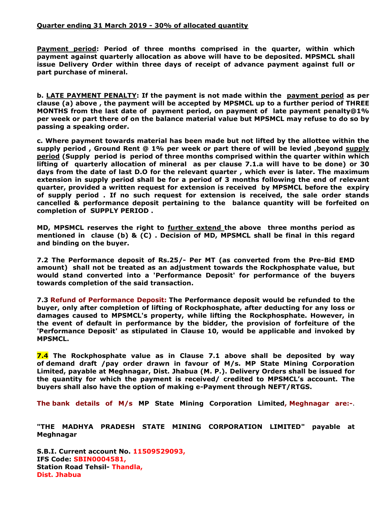#### **Quarter ending 31 March 2019 - 30% of allocated quantity**

**Payment period: Period of three months comprised in the quarter, within which payment against quarterly allocation as above will have to be deposited. MPSMCL shall issue Delivery Order within three days of receipt of advance payment against full or part purchase of mineral.** 

**b. LATE PAYMENT PENALTY: If the payment is not made within the payment period as per clause (a) above , the payment will be accepted by MPSMCL up to a further period of THREE MONTHS from the last date of payment period, on payment of late payment penalty@1% per week or part there of on the balance material value but MPSMCL may refuse to do so by passing a speaking order.**

**c. Where payment towards material has been made but not lifted by the allottee within the supply period , Ground Rent @ 1% per week or part there of will be levied ,beyond supply period (Supply period is period of three months comprised within the quarter within which lifting of quarterly allocation of mineral as per clause 7.1.a will have to be done) or 30 days from the date of last D.O for the relevant quarter , which ever is later. The maximum extension in supply period shall be for a period of 3 months following the end of relevant quarter, provided a written request for extension is received by MPSMCL before the expiry of supply period . If no such request for extension is received, the sale order stands cancelled & performance deposit pertaining to the balance quantity will be forfeited on completion of SUPPLY PERIOD .**

**MD, MPSMCL reserves the right to further extend the above three months period as mentioned in clause (b) & (C) . Decision of MD, MPSMCL shall be final in this regard and binding on the buyer.**

**7.2 The Performance deposit of Rs.25/- Per MT (as converted from the Pre-Bid EMD amount) shall not be treated as an adjustment towards the Rockphosphate value, but would stand converted into a 'Performance Deposit' for performance of the buyers towards completion of the said transaction.**

**7.3 Refund of Performance Deposit: The Performance deposit would be refunded to the buyer, only after completion of lifting of Rockphosphate, after deducting for any loss or damages caused to MPSMCL's property, while lifting the Rockphosphate. However, in the event of default in performance by the bidder, the provision of forfeiture of the 'Performance Deposit' as stipulated in Clause 10, would be applicable and invoked by MPSMCL.**

**7.4 The Rockphosphate value as in Clause 7.1 above shall be deposited by way of demand draft /pay order drawn in favour of M/s. MP State Mining Corporation Limited, payable at Meghnagar, Dist. Jhabua (M. P.). Delivery Orders shall be issued for the quantity for which the payment is received/ credited to MPSMCL's account. The buyers shall also have the option of making e-Payment through NEFT/RTGS.**

**The bank details of M/s MP State Mining Corporation Limited, Meghnagar are:-**.

**"THE MADHYA PRADESH STATE MINING CORPORATION LIMITED" payable at Meghnagar**

**S.B.I. Current account No. 11509529093, IFS Code: SBIN0004581, Station Road Tehsil- Thandla, Dist. Jhabua**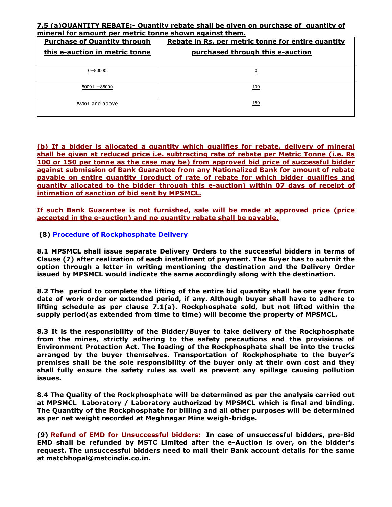## **7.5 (a)QUANTITY REBATE:- Quantity rebate shall be given on purchase of quantity of mineral for amount per metric tonne shown against them.**

| <b>Purchase of Quantity through</b> | Rebate in Rs. per metric tonne for entire quantity |  |
|-------------------------------------|----------------------------------------------------|--|
| this e-auction in metric tonne      | purchased through this e-auction                   |  |
|                                     |                                                    |  |
| $0 - 80000$                         |                                                    |  |
|                                     |                                                    |  |
| $80001 - 88000$                     | 100                                                |  |
|                                     |                                                    |  |
| 88001 and above                     | 150                                                |  |
|                                     |                                                    |  |

## **(b) If a bidder is allocated a quantity which qualifies for rebate, delivery of mineral shall be given at reduced price i.e. subtracting rate of rebate per Metric Tonne (i.e. Rs 100 or 150 per tonne as the case may be) from approved bid price of successful bidder against submission of Bank Guarantee from any Nationalized Bank for amount of rebate payable on entire quantity (product of rate of rebate for which bidder qualifies and quantity allocated to the bidder through this e-auction) within 07 days of receipt of intimation of sanction of bid sent by MPSMCL.**

**If such Bank Guarantee is not furnished, sale will be made at approved price (price accepted in the e-auction) and no quantity rebate shall be payable.** 

# **(8) Procedure of Rockphosphate Delivery**

**8.1 MPSMCL shall issue separate Delivery Orders to the successful bidders in terms of Clause (7) after realization of each installment of payment. The Buyer has to submit the option through a letter in writing mentioning the destination and the Delivery Order issued by MPSMCL would indicate the same accordingly along with the destination.**

**8.2 The period to complete the lifting of the entire bid quantity shall be one year from date of work order or extended period, if any. Although buyer shall have to adhere to lifting schedule as per clause 7.1(a). Rockphosphate sold, but not lifted within the supply period(as extended from time to time) will become the property of MPSMCL.**

**8.3 It is the responsibility of the Bidder/Buyer to take delivery of the Rockphosphate from the mines, strictly adhering to the safety precautions and the provisions of Environment Protection Act. The loading of the Rockphosphate shall be into the trucks arranged by the buyer themselves. Transportation of Rockphosphate to the buyer's premises shall be the sole responsibility of the buyer only at their own cost and they shall fully ensure the safety rules as well as prevent any spillage causing pollution issues.**

**8.4 The Quality of the Rockphosphate will be determined as per the analysis carried out at MPSMCL Laboratory / Laboratory authorized by MPSMCL which is final and binding. The Quantity of the Rockphosphate for billing and all other purposes will be determined as per net weight recorded at Meghnagar Mine weigh-bridge.**

**(9) Refund of EMD for Unsuccessful bidders: In case of unsuccessful bidders, pre-Bid EMD shall be refunded by MSTC Limited after the e-Auction is over, on the bidder's request. The unsuccessful bidders need to mail their Bank account details for the same at mstcbhopal@mstcindia.co.in.**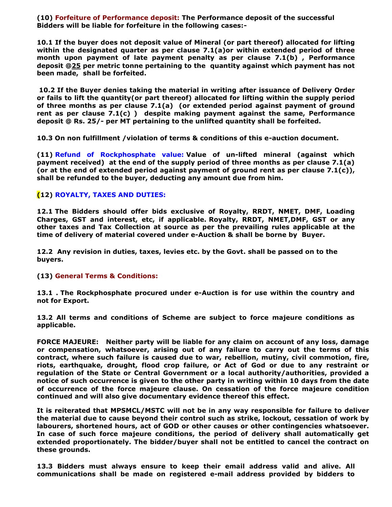**(10) Forfeiture of Performance deposit: The Performance deposit of the successful Bidders will be liable for forfeiture in the following cases:-**

**10.1 If the buyer does not deposit value of Mineral (or part thereof) allocated for lifting within the designated quarter as per clause 7.1(a)or within extended period of three month upon payment of late payment penalty as per clause 7.1(b) , Performance deposit @25 per metric tonne pertaining to the quantity against which payment has not been made, shall be forfeited.** 

**10.2 If the Buyer denies taking the material in writing after issuance of Delivery Order or fails to lift the quantity(or part thereof) allocated for lifting within the supply period of three months as per clause 7.1(a) (or extended period against payment of ground rent as per clause 7.1(c) ) despite making payment against the same, Performance deposit @ Rs. 25/- per MT pertaining to the unlifted quantity shall be forfeited.**

**10.3 On non fulfillment /violation of terms & conditions of this e-auction document.**

**(11) Refund of Rockphosphate value: Value of un-lifted mineral (against which payment received) at the end of the supply period of three months as per clause 7.1(a) (or at the end of extended period against payment of ground rent as per clause 7.1(c)), shall be refunded to the buyer, deducting any amount due from him.** 

## **(12) ROYALTY, TAXES AND DUTIES:**

**12.1 The Bidders should offer bids exclusive of Royalty, RRDT, NMET, DMF, Loading Charges, GST and interest, etc, if applicable. Royalty, RRDT, NMET,DMF, GST or any other taxes and Tax Collection at source as per the prevailing rules applicable at the time of delivery of material covered under e-Auction & shall be borne by Buyer.**

**12.2 Any revision in duties, taxes, levies etc. by the Govt. shall be passed on to the buyers.**

## **(13) General Terms & Conditions:**

**13.1 . The Rockphosphate procured under e-Auction is for use within the country and not for Export.**

**13.2 All terms and conditions of Scheme are subject to force majeure conditions as applicable.**

**FORCE MAJEURE: Neither party will be liable for any claim on account of any loss, damage or compensation, whatsoever, arising out of any failure to carry out the terms of this contract, where such failure is caused due to war, rebellion, mutiny, civil commotion, fire, riots, earthquake, drought, flood crop failure, or Act of God or due to any restraint or regulation of the State or Central Government or a local authority/authorities, provided a notice of such occurrence is given to the other party in writing within 10 days from the date of occurrence of the force majeure clause. On cessation of the force majeure condition continued and will also give documentary evidence thereof this effect.**

**It is reiterated that MPSMCL/MSTC will not be in any way responsible for failure to deliver the material due to cause beyond their control such as strike, lockout, cessation of work by labourers, shortened hours, act of GOD or other causes or other contingencies whatsoever. In case of such force majeure conditions, the period of delivery shall automatically get extended proportionately. The bidder/buyer shall not be entitled to cancel the contract on these grounds.**

**13.3 Bidders must always ensure to keep their email address valid and alive. All communications shall be made on registered e-mail address provided by bidders to**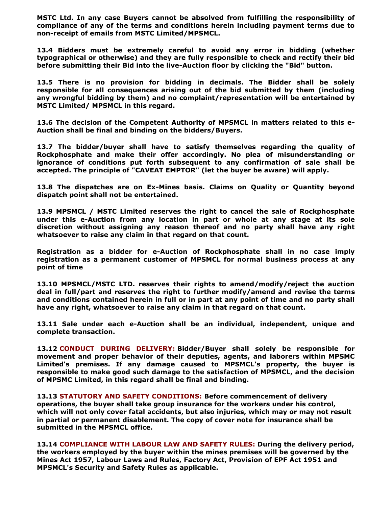**MSTC Ltd. In any case Buyers cannot be absolved from fulfilling the responsibility of compliance of any of the terms and conditions herein including payment terms due to non-receipt of emails from MSTC Limited/MPSMCL.**

**13.4 Bidders must be extremely careful to avoid any error in bidding (whether typographical or otherwise) and they are fully responsible to check and rectify their bid before submitting their Bid into the live-Auction floor by clicking the "Bid" button.**

**13.5 There is no provision for bidding in decimals. The Bidder shall be solely responsible for all consequences arising out of the bid submitted by them (including any wrongful bidding by them) and no complaint/representation will be entertained by MSTC Limited/ MPSMCL in this regard.**

**13.6 The decision of the Competent Authority of MPSMCL in matters related to this e-Auction shall be final and binding on the bidders/Buyers.**

**13.7 The bidder/buyer shall have to satisfy themselves regarding the quality of Rockphosphate and make their offer accordingly. No plea of misunderstanding or ignorance of conditions put forth subsequent to any confirmation of sale shall be accepted. The principle of "CAVEAT EMPTOR" (let the buyer be aware) will apply.**

**13.8 The dispatches are on Ex-Mines basis. Claims on Quality or Quantity beyond dispatch point shall not be entertained.**

**13.9 MPSMCL / MSTC Limited reserves the right to cancel the sale of Rockphosphate under this e-Auction from any location in part or whole at any stage at its sole discretion without assigning any reason thereof and no party shall have any right whatsoever to raise any claim in that regard on that count.**

**Registration as a bidder for e-Auction of Rockphosphate shall in no case imply registration as a permanent customer of MPSMCL for normal business process at any point of time**

**13.10 MPSMCL/MSTC LTD. reserves their rights to amend/modify/reject the auction deal in full/part and reserves the right to further modify/amend and revise the terms and conditions contained herein in full or in part at any point of time and no party shall have any right, whatsoever to raise any claim in that regard on that count.**

**13.11 Sale under each e-Auction shall be an individual, independent, unique and complete transaction.**

**13.12 CONDUCT DURING DELIVERY: Bidder/Buyer shall solely be responsible for movement and proper behavior of their deputies, agents, and laborers within MPSMC Limited's premises. If any damage caused to MPSMCL's property, the buyer is responsible to make good such damage to the satisfaction of MPSMCL, and the decision of MPSMC Limited, in this regard shall be final and binding.** 

**13.13 STATUTORY AND SAFETY CONDITIONS: Before commencement of delivery operations, the buyer shall take group insurance for the workers under his control, which will not only cover fatal accidents, but also injuries, which may or may not result in partial or permanent disablement. The copy of cover note for insurance shall be submitted in the MPSMCL office.**

**13.14 COMPLIANCE WITH LABOUR LAW AND SAFETY RULES: During the delivery period, the workers employed by the buyer within the mines premises will be governed by the Mines Act 1957, Labour Laws and Rules, Factory Act, Provision of EPF Act 1951 and MPSMCL's Security and Safety Rules as applicable.**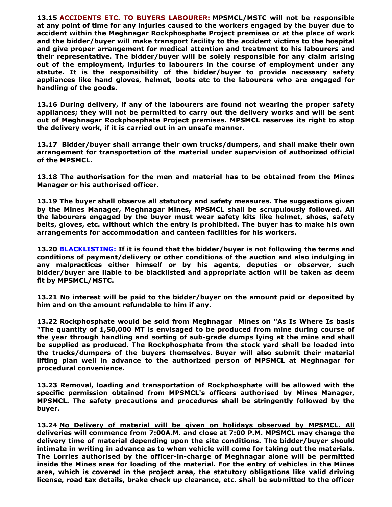**13.15 ACCIDENTS ETC. TO BUYERS LABOURER: MPSMCL/MSTC will not be responsible at any point of time for any injuries caused to the workers engaged by the buyer due to accident within the Meghnagar Rockphosphate Project premises or at the place of work and the bidder/buyer will make transport facility to the accident victims to the hospital and give proper arrangement for medical attention and treatment to his labourers and their representative. The bidder/buyer will be solely responsible for any claim arising out of the employment, injuries to labourers in the course of employment under any statute. It is the responsibility of the bidder/buyer to provide necessary safety appliances like hand gloves, helmet, boots etc to the labourers who are engaged for handling of the goods.**

**13.16 During delivery, if any of the labourers are found not wearing the proper safety appliances; they will not be permitted to carry out the delivery works and will be sent out of Meghnagar Rockphosphate Project premises. MPSMCL reserves its right to stop the delivery work, if it is carried out in an unsafe manner.**

**13.17 Bidder/buyer shall arrange their own trucks/dumpers, and shall make their own arrangement for transportation of the material under supervision of authorized official of the MPSMCL.**

**13.18 The authorisation for the men and material has to be obtained from the Mines Manager or his authorised officer.**

**13.19 The buyer shall observe all statutory and safety measures. The suggestions given by the Mines Manager, Meghnagar Mines, MPSMCL shall be scrupulously followed. All the labourers engaged by the buyer must wear safety kits like helmet, shoes, safety belts, gloves, etc. without which the entry is prohibited. The buyer has to make his own arrangements for accommodation and canteen facilities for his workers.**

**13.20 BLACKLISTING: If it is found that the bidder/buyer is not following the terms and conditions of payment/delivery or other conditions of the auction and also indulging in any malpractices either himself or by his agents, deputies or observer, such bidder/buyer are liable to be blacklisted and appropriate action will be taken as deem fit by MPSMCL/MSTC.**

**13.21 No interest will be paid to the bidder/buyer on the amount paid or deposited by him and on the amount refundable to him if any.**

**13.22 Rockphosphate would be sold from Meghnagar Mines on "As Is Where Is basis "The quantity of 1,50,000 MT is envisaged to be produced from mine during course of the year through handling and sorting of sub-grade dumps lying at the mine and shall be supplied as produced. The Rockphosphate from the stock yard shall be loaded into the trucks/dumpers of the buyers themselves. Buyer will also submit their material lifting plan well in advance to the authorized person of MPSMCL at Meghnagar for procedural convenience.**

**13.23 Removal, loading and transportation of Rockphosphate will be allowed with the specific permission obtained from MPSMCL's officers authorised by Mines Manager, MPSMCL. The safety precautions and procedures shall be stringently followed by the buyer.**

**13.24 No Delivery of material will be given on holidays observed by MPSMCL. All deliveries will commence from 7:00A.M. and close at 7:00 P.M. MPSMCL may change the delivery time of material depending upon the site conditions. The bidder/buyer should intimate in writing in advance as to when vehicle will come for taking out the materials. The Lorries authorised by the officer-in-charge of Meghnagar alone will be permitted inside the Mines area for loading of the material. For the entry of vehicles in the Mines area, which is covered in the project area, the statutory obligations like valid driving license, road tax details, brake check up clearance, etc. shall be submitted to the officer**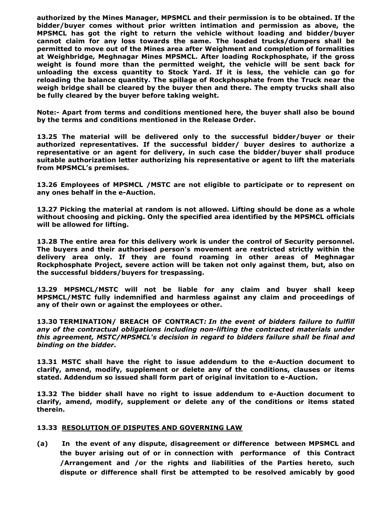**authorized by the Mines Manager, MPSMCL and their permission is to be obtained. If the bidder/buyer comes without prior written intimation and permission as above, the MPSMCL has got the right to return the vehicle without loading and bidder/buyer cannot claim for any loss towards the same. The loaded trucks/dumpers shall be permitted to move out of the Mines area after Weighment and completion of formalities at Weighbridge, Meghnagar Mines MPSMCL. After loading Rockphosphate, if the gross weight is found more than the permitted weight, the vehicle will be sent back for unloading the excess quantity to Stock Yard. If it is less, the vehicle can go for reloading the balance quantity. The spillage of Rockphosphate from the Truck near the weigh bridge shall be cleared by the buyer then and there. The empty trucks shall also be fully cleared by the buyer before taking weight.**

**Note:- Apart from terms and conditions mentioned here, the buyer shall also be bound by the terms and conditions mentioned in the Release Order.**

**13.25 The material will be delivered only to the successful bidder/buyer or their authorized representatives. If the successful bidder/ buyer desires to authorize a representative or an agent for delivery, in such case the bidder/buyer shall produce suitable authorization letter authorizing his representative or agent to lift the materials from MPSMCL's premises.**

**13.26 Employees of MPSMCL /MSTC are not eligible to participate or to represent on any ones behalf in the e-Auction.**

**13.27 Picking the material at random is not allowed. Lifting should be done as a whole without choosing and picking. Only the specified area identified by the MPSMCL officials will be allowed for lifting.**

**13.28 The entire area for this delivery work is under the control of Security personnel. The buyers and their authorised person's movement are restricted strictly within the delivery area only. If they are found roaming in other areas of Meghnagar Rockphosphate Project, severe action will be taken not only against them, but, also on the successful bidders/buyers for trespassing.**

**13.29 MPSMCL/MSTC will not be liable for any claim and buyer shall keep MPSMCL/MSTC fully indemnified and harmless against any claim and proceedings of any of their own or against the employees or other.**

**13.30 TERMINATION/ BREACH OF CONTRACT***: In the event of bidders failure to fulfill any of the contractual obligations including non-lifting the contracted materials under this agreement, MSTC/MPSMCL's decision in regard to bidders failure shall be final and binding on the bidder.* 

**13.31 MSTC shall have the right to issue addendum to the e-Auction document to clarify, amend, modify, supplement or delete any of the conditions, clauses or items stated. Addendum so issued shall form part of original invitation to e-Auction.**

**13.32 The bidder shall have no right to issue addendum to e-Auction document to clarify, amend, modify, supplement or delete any of the conditions or items stated therein.**

#### **13.33 RESOLUTION OF DISPUTES AND GOVERNING LAW**

**(a) In the event of any dispute, disagreement or difference between MPSMCL and the buyer arising out of or in connection with performance of this Contract /Arrangement and /or the rights and liabilities of the Parties hereto, such dispute or difference shall first be attempted to be resolved amicably by good**